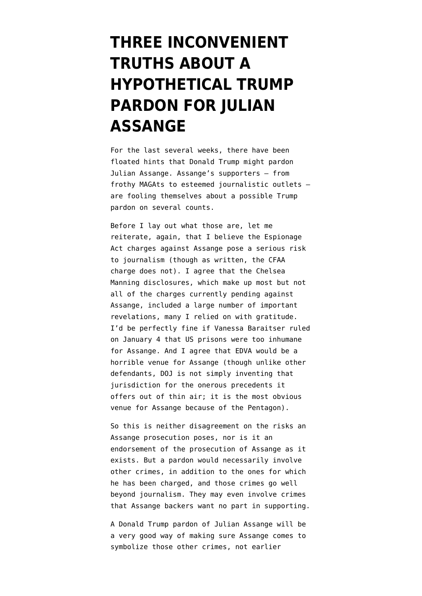## **[THREE INCONVENIENT](https://www.emptywheel.net/2020/12/19/three-inconvenient-truths-about-a-hypothetical-trump-pardon-for-julian-assange/) [TRUTHS ABOUT A](https://www.emptywheel.net/2020/12/19/three-inconvenient-truths-about-a-hypothetical-trump-pardon-for-julian-assange/) [HYPOTHETICAL TRUMP](https://www.emptywheel.net/2020/12/19/three-inconvenient-truths-about-a-hypothetical-trump-pardon-for-julian-assange/) [PARDON FOR JULIAN](https://www.emptywheel.net/2020/12/19/three-inconvenient-truths-about-a-hypothetical-trump-pardon-for-julian-assange/) [ASSANGE](https://www.emptywheel.net/2020/12/19/three-inconvenient-truths-about-a-hypothetical-trump-pardon-for-julian-assange/)**

For the last several weeks, there have been floated hints that Donald Trump might pardon Julian Assange. Assange's supporters — from frothy MAGAts to esteemed journalistic outlets are fooling themselves about a possible Trump pardon on several counts.

Before I lay out what those are, let me reiterate, again, that I believe the Espionage Act charges against Assange pose a serious risk to journalism (though as written, [the CFAA](https://www.emptywheel.net/2020/07/05/the-growing-wikileaks-conspiracy-indictment/) [charge does not\)](https://www.emptywheel.net/2020/07/05/the-growing-wikileaks-conspiracy-indictment/). I agree that the Chelsea Manning disclosures, which make up most but not all of the charges currently pending against Assange, included a large number of important revelations, many I relied on with gratitude. I'd be perfectly fine if Vanessa Baraitser ruled on January 4 that US prisons were too inhumane for Assange. And I agree that EDVA would be a horrible venue for Assange (though unlike other defendants, DOJ is not simply inventing that jurisdiction for the onerous precedents it offers out of thin air; it is the most obvious venue for Assange because of the Pentagon).

So this is neither disagreement on the risks an Assange prosecution poses, nor is it an endorsement of the prosecution of Assange as it exists. But a pardon would necessarily involve other crimes, in addition to the ones for which he has been charged, and those crimes go well beyond journalism. They may even involve crimes that Assange backers want no part in supporting.

A Donald Trump pardon of Julian Assange will be a very good way of making sure Assange comes to symbolize those other crimes, not earlier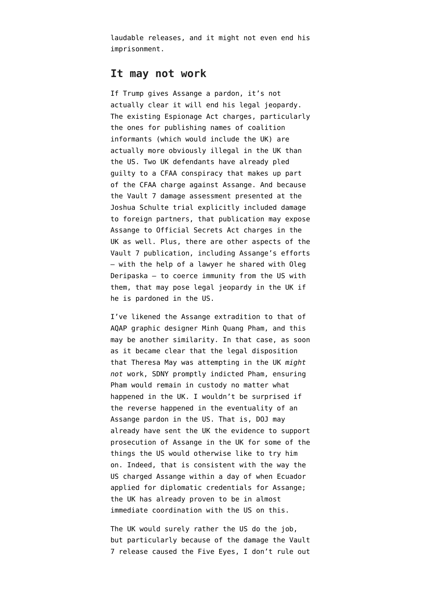laudable releases, and it might not even end his imprisonment.

## **It may not work**

If Trump gives Assange a pardon, it's not actually clear it will end his legal jeopardy. The existing Espionage Act charges, particularly the ones for publishing names of coalition informants (which would include the UK) are actually more obviously illegal in the UK than the US. Two UK defendants have already pled guilty to a CFAA conspiracy that makes up part of the CFAA charge against Assange. And because the Vault 7 damage assessment presented at the Joshua Schulte trial [explicitly included damage](https://www.emptywheel.net/2020/09/23/a-digital-pearl-harbor-the-ways-in-which-the-vault-7-leak-could-have-compromised-us-and-british-assets-identities/) [to foreign partners](https://www.emptywheel.net/2020/09/23/a-digital-pearl-harbor-the-ways-in-which-the-vault-7-leak-could-have-compromised-us-and-british-assets-identities/), that publication may expose Assange to Official Secrets Act charges in the UK as well. Plus, there are other aspects of the Vault 7 publication, including Assange's efforts — with the help of a lawyer he shared with Oleg Deripaska — [to coerce immunity](https://www.emptywheel.net/2018/06/25/john-solomons-baby-assange/) from the US with them, that may pose legal jeopardy in the UK if he is pardoned in the US.

I've likened the Assange extradition to [that of](https://www.emptywheel.net/2020/09/13/the-minh-quang-pham-precedent-to-the-julian-assange-extradition/) [AQAP graphic designer Minh Quang Pham](https://www.emptywheel.net/2020/09/13/the-minh-quang-pham-precedent-to-the-julian-assange-extradition/), and this may be another similarity. In that case, as soon as it became clear that the legal disposition that Theresa May was attempting in the UK *might not* work, SDNY promptly indicted Pham, ensuring Pham would remain in custody no matter what happened in the UK. I wouldn't be surprised if the reverse happened in the eventuality of an Assange pardon in the US. That is, DOJ may already have sent the UK the evidence to support prosecution of Assange in the UK for some of the things the US would otherwise like to try him on. Indeed, that is consistent with the way the US charged Assange within a day of when Ecuador applied for diplomatic credentials for Assange; the UK has already proven to be in almost immediate coordination with the US on this.

The UK would surely rather the US do the job, but particularly because of the damage the Vault 7 release caused the Five Eyes, I don't rule out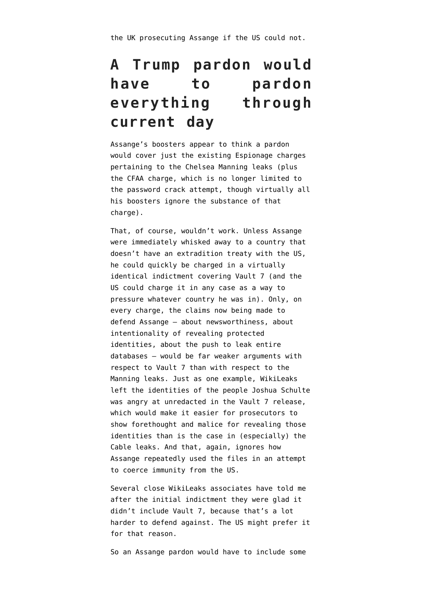the UK prosecuting Assange if the US could not.

## **A Trump pardon would have to pardon everything through current day**

Assange's boosters appear to think a pardon would cover just the existing Espionage charges pertaining to the Chelsea Manning leaks (plus the CFAA charge, which is no longer limited to the password crack attempt, though virtually all his boosters ignore the substance of that charge).

That, of course, wouldn't work. Unless Assange were immediately whisked away to a country that doesn't have an extradition treaty with the US, he could quickly be charged in a virtually identical indictment covering Vault 7 (and the US could charge it in any case as a way to pressure whatever country he was in). Only, on every charge, the claims now being made to defend Assange — [about newsworthiness](https://www.emptywheel.net/2020/12/10/joshua-schulte-undermines-the-wikileaks-claim-to-publish-whistleblowers/), about intentionality of revealing protected identities, about the push to leak entire databases — would be far weaker arguments with respect to Vault 7 than with respect to the Manning leaks. Just as one example, WikiLeaks left the identities of the people Joshua Schulte was angry at unredacted in the Vault 7 release, which would make it easier for prosecutors to show forethought and malice for revealing those identities than is the case in (especially) the Cable leaks. And that, again, ignores how Assange repeatedly used the files in an attempt to coerce immunity from the US.

Several close WikiLeaks associates have told me after the initial indictment they were glad it didn't include Vault 7, because that's a lot harder to defend against. The US might prefer it for that reason.

So an Assange pardon would have to include some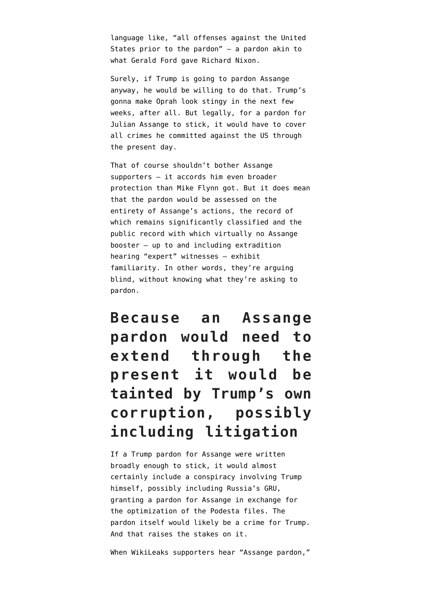language like, "all offenses against the United States prior to the pardon" — a pardon akin to what Gerald Ford gave Richard Nixon.

Surely, if Trump is going to pardon Assange anyway, he would be willing to do that. Trump's gonna make Oprah look stingy in the next few weeks, after all. But legally, for a pardon for Julian Assange to stick, it would have to cover all crimes he committed against the US through the present day.

That of course shouldn't bother Assange supporters — it accords him even broader protection than Mike Flynn got. But it does mean that the pardon would be assessed on the entirety of Assange's actions, the record of which remains significantly classified and the public record with which virtually no Assange booster — up to and [including extradition](https://www.emptywheel.net/2020/09/07/julian-assanges-first-witness-journalism-professor-mark-feldstein-professes-to-be-unfamiliar-with-the-public-record-on-assange/) [hearing "expert" witnesses](https://www.emptywheel.net/2020/09/07/julian-assanges-first-witness-journalism-professor-mark-feldstein-professes-to-be-unfamiliar-with-the-public-record-on-assange/) — exhibit familiarity. In other words, they're arguing blind, without knowing what they're asking to pardon.

**Because an Assange pardon would need to extend through the present it would be tainted by Trump's own corruption, possibly including litigation**

If a Trump pardon for Assange were written broadly enough to stick, it would almost certainly include a conspiracy involving Trump himself, possibly including Russia's GRU, granting a pardon for Assange in exchange for the optimization of the Podesta files. The pardon itself would likely be a crime for Trump. And that raises the stakes on it.

When WikiLeaks supporters hear "Assange pardon,"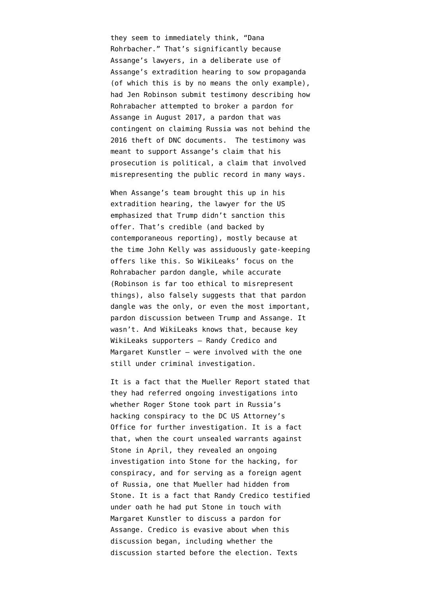they seem to immediately think, "Dana Rohrbacher." That's significantly because Assange's lawyers, in a deliberate use of Assange's extradition hearing to sow propaganda (of which this is by no means the only example), had Jen Robinson [submit testimony](https://www.emptywheel.net/2020/09/19/wherein-wikileaks-brags-about-entertaining-a-pardon-dangle-from-a-suspected-russian-asset-and-a-white-supremacist/) describing how Rohrabacher attempted to broker a pardon for Assange in August 2017, a pardon that was contingent on claiming Russia was not behind the 2016 theft of DNC documents. The testimony was meant to support Assange's claim that his prosecution is political, a claim that involved misrepresenting the public record in many ways.

When Assange's team brought this up in his extradition hearing, the lawyer for the US emphasized that Trump didn't sanction this offer. That's credible (and [backed by](https://www.wsj.com/articles/gop-congressman-sought-trump-deal-on-wikileaks-russia-1505509918) [contemporaneous reporting\)](https://www.wsj.com/articles/gop-congressman-sought-trump-deal-on-wikileaks-russia-1505509918), mostly because at the time John Kelly was assiduously gate-keeping offers like this. So WikiLeaks' focus on the Rohrabacher pardon dangle, while accurate (Robinson is far too ethical to misrepresent things), also falsely suggests that that pardon dangle was the only, or even the most important, pardon discussion between Trump and Assange. It wasn't. And WikiLeaks knows that, because key WikiLeaks supporters — Randy Credico and Margaret Kunstler — were involved with the one still under criminal investigation.

It is a fact that the Mueller Report [stated](https://beta.documentcloud.org/documents/20401920-201102-mueller-report#document/p187/a2009430) that they had [referred ongoing investigations](https://www.emptywheel.net/2020/11/03/unsealed-mueller-report-passages-confirm-the-then-ongoing-investigation-into-roger-stone/) into whether Roger Stone took part in Russia's hacking conspiracy to the DC US Attorney's Office for further investigation. It is a fact that, when the court unsealed warrants against Stone in April, they revealed an [ongoing](https://www.emptywheel.net/2020/05/01/the-roger-stone-prosecution-was-one-step-in-an-ongoing-investigation/) [investigation](https://www.emptywheel.net/2020/05/01/the-roger-stone-prosecution-was-one-step-in-an-ongoing-investigation/) into [Stone](https://www.documentcloud.org/documents/6879602-1800927-Mystery-Twitter-2.html#document/p16/a562125) for the hacking, for conspiracy, and for serving as a foreign agent of Russia, one that Mueller had hidden from Stone. It is a fact that Randy Credico [testified](https://www.documentcloud.org/documents/6862006-191108-Stone-Trial-AM-Transcript.html#document/p55/a581863) [under oath](https://www.documentcloud.org/documents/6862006-191108-Stone-Trial-AM-Transcript.html#document/p55/a581863) he had put Stone in touch with Margaret Kunstler to discuss a pardon for Assange. Credico [is evasive](https://www.emptywheel.net/2020/09/19/randy-credico-refuses-to-answer-whether-roger-stone-called-him-about-an-assange-pardon-on-november-9-2016/) about when this discussion began, including whether the discussion started before the election. Texts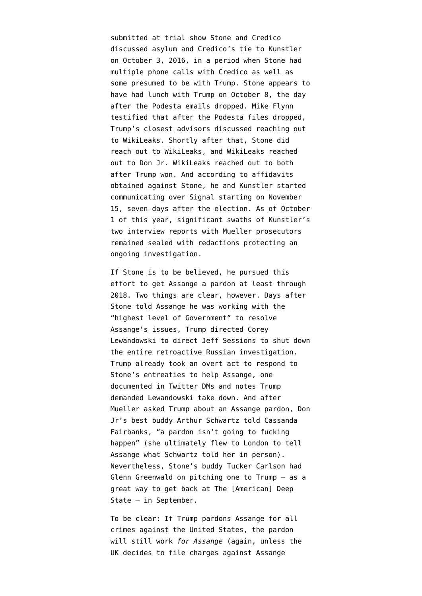submitted at trial show Stone and Credico [discussed](https://beta.documentcloud.org/documents/20397994-160919-to-161003-credico-stone-text-message-govt-exhibit-190) asylum and Credico's tie to Kunstler on October 3, 2016, in a period when Stone had multiple phone calls with Credico as well as [some presumed to be with Trump.](https://beta.documentcloud.org/documents/7039357-200818-SSCI-Russia-Report#document/p263/a2009431) Stone [appears to](https://beta.documentcloud.org/documents/6879585-180712-CSC-Holdings-Apple#document/p28/a2002981) [have had lunch](https://beta.documentcloud.org/documents/6879585-180712-CSC-Holdings-Apple#document/p28/a2002981) with Trump on October 8, the day after the Podesta emails dropped. Mike Flynn [testified](https://www.courtlistener.com/recap/gov.uscourts.dcd.191592/gov.uscourts.dcd.191592.75.0_7.pdf) that after the Podesta files dropped, Trump's closest advisors discussed reaching out to WikiLeaks. Shortly after that, Stone did reach out to WikiLeaks, and WikiLeaks reached out to Don Jr. WikiLeaks reached out to both after Trump won. And according to affidavits obtained against Stone, he and Kunstler [started](https://beta.documentcloud.org/documents/6879419-190213-Stone-Phone-Warrant#document/p36/a561888) [communicating](https://beta.documentcloud.org/documents/6879419-190213-Stone-Phone-Warrant#document/p36/a561888) over Signal starting on November 15, seven days after the election. As of October 1 of this year, significant swaths of Kunstler's [two interview](https://beta.documentcloud.org/documents/20393605-11th-mueller-foia-release-201001#document/p347/a2002757) [reports](https://beta.documentcloud.org/documents/20393605-11th-mueller-foia-release-201001#document/p349/a2002770) with Mueller prosecutors remained sealed with redactions protecting an ongoing investigation.

If Stone is to be believed, he pursued this effort to get Assange a pardon at least through 2018. Two things are clear, however. Days after [Stone told Assange](https://beta.documentcloud.org/documents/6879580-171106-Assange-Twitter-Accounts#document/p18/a2003074) he was working with the "highest level of Government" to resolve Assange's issues, Trump [directed](https://beta.documentcloud.org/documents/20401920-201102-mueller-report#document/p304/a2009432) Corey Lewandowski to direct Jeff Sessions to shut down the entire retroactive Russian investigation. Trump already took an overt act to respond to Stone's entreaties to help Assange, one documented in Twitter DMs and notes Trump demanded Lewandowski take down. And after Mueller asked Trump about an Assange pardon, Don Jr's best buddy Arthur Schwartz [told Cassanda](https://www.emptywheel.net/2020/09/22/a-month-after-trump-learned-that-mueller-knew-of-the-pardon-deal-cassandra-fairbanks-learned-the-pardon-was-off/) [Fairbanks,](https://www.emptywheel.net/2020/09/22/a-month-after-trump-learned-that-mueller-knew-of-the-pardon-deal-cassandra-fairbanks-learned-the-pardon-was-off/) "a pardon isn't going to fucking happen" (she ultimately flew to London to tell Assange what Schwartz told her in person). Nevertheless, Stone's buddy Tucker Carlson [had](https://www.emptywheel.net/2020/09/12/glenn-greenwald-moves-to-close-the-deal-on-trumps-election-help-quid-pro-quo/) [Glenn Greenwald on](https://www.emptywheel.net/2020/09/12/glenn-greenwald-moves-to-close-the-deal-on-trumps-election-help-quid-pro-quo/) pitching one to Trump — as a great way to get back at The [American] Deep State — in September.

To be clear: If Trump pardons Assange for all crimes against the United States, the pardon will still work *for Assange* (again, unless the UK decides to file charges against Assange